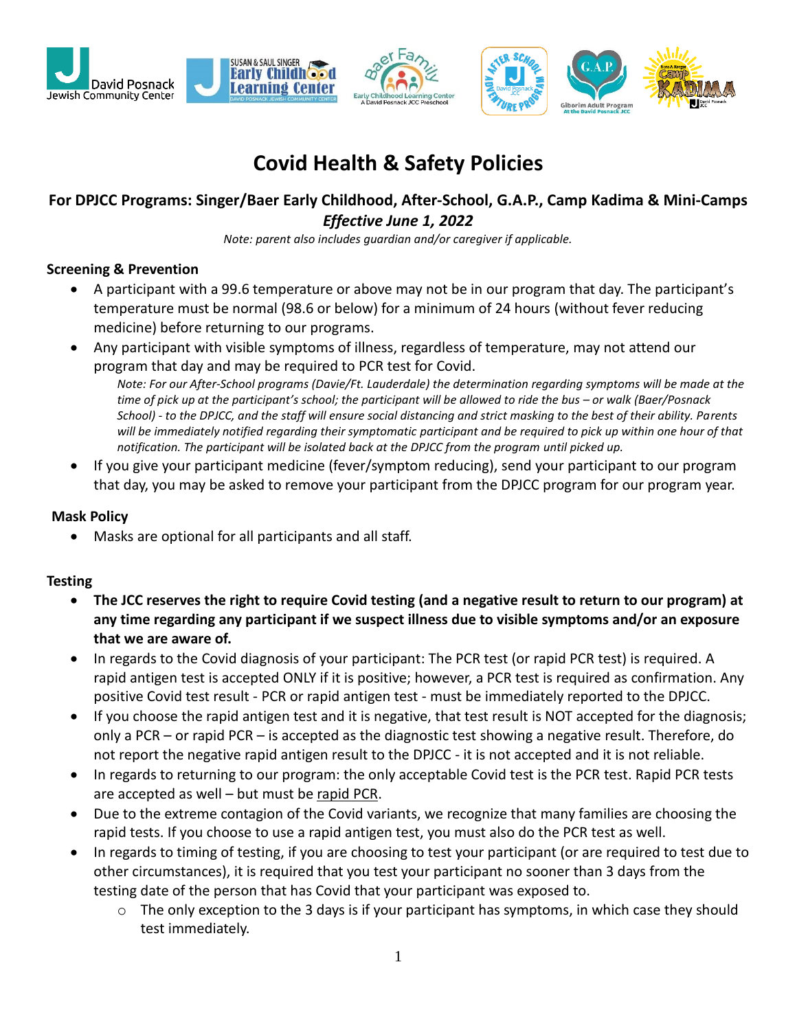

# **Covid Health & Safety Policies**

## **For DPJCC Programs: Singer/Baer Early Childhood, After-School, G.A.P., Camp Kadima & Mini-Camps** *Effective June 1, 2022*

*Note: parent also includes guardian and/or caregiver if applicable.*

#### **Screening & Prevention**

- A participant with a 99.6 temperature or above may not be in our program that day. The participant's temperature must be normal (98.6 or below) for a minimum of 24 hours (without fever reducing medicine) before returning to our programs.
- Any participant with visible symptoms of illness, regardless of temperature, may not attend our program that day and may be required to PCR test for Covid.

*Note: For our After-School programs (Davie/Ft. Lauderdale) the determination regarding symptoms will be made at the time of pick up at the participant's school; the participant will be allowed to ride the bus – or walk (Baer/Posnack School) - to the DPJCC, and the staff will ensure social distancing and strict masking to the best of their ability. Parents will be immediately notified regarding their symptomatic participant and be required to pick up within one hour of that notification. The participant will be isolated back at the DPJCC from the program until picked up.*

• If you give your participant medicine (fever/symptom reducing), send your participant to our program that day, you may be asked to remove your participant from the DPJCC program for our program year.

#### **Mask Policy**

• Masks are optional for all participants and all staff.

#### **Testing**

- **The JCC reserves the right to require Covid testing (and a negative result to return to our program) at any time regarding any participant if we suspect illness due to visible symptoms and/or an exposure that we are aware of.**
- In regards to the Covid diagnosis of your participant: The PCR test (or rapid PCR test) is required. A rapid antigen test is accepted ONLY if it is positive; however, a PCR test is required as confirmation. Any positive Covid test result - PCR or rapid antigen test - must be immediately reported to the DPJCC.
- If you choose the rapid antigen test and it is negative, that test result is NOT accepted for the diagnosis; only a PCR – or rapid PCR – is accepted as the diagnostic test showing a negative result. Therefore, do not report the negative rapid antigen result to the DPJCC - it is not accepted and it is not reliable.
- In regards to returning to our program: the only acceptable Covid test is the PCR test. Rapid PCR tests are accepted as well – but must be rapid PCR.
- Due to the extreme contagion of the Covid variants, we recognize that many families are choosing the rapid tests. If you choose to use a rapid antigen test, you must also do the PCR test as well.
- In regards to timing of testing, if you are choosing to test your participant (or are required to test due to other circumstances), it is required that you test your participant no sooner than 3 days from the testing date of the person that has Covid that your participant was exposed to.
	- $\circ$  The only exception to the 3 days is if your participant has symptoms, in which case they should test immediately.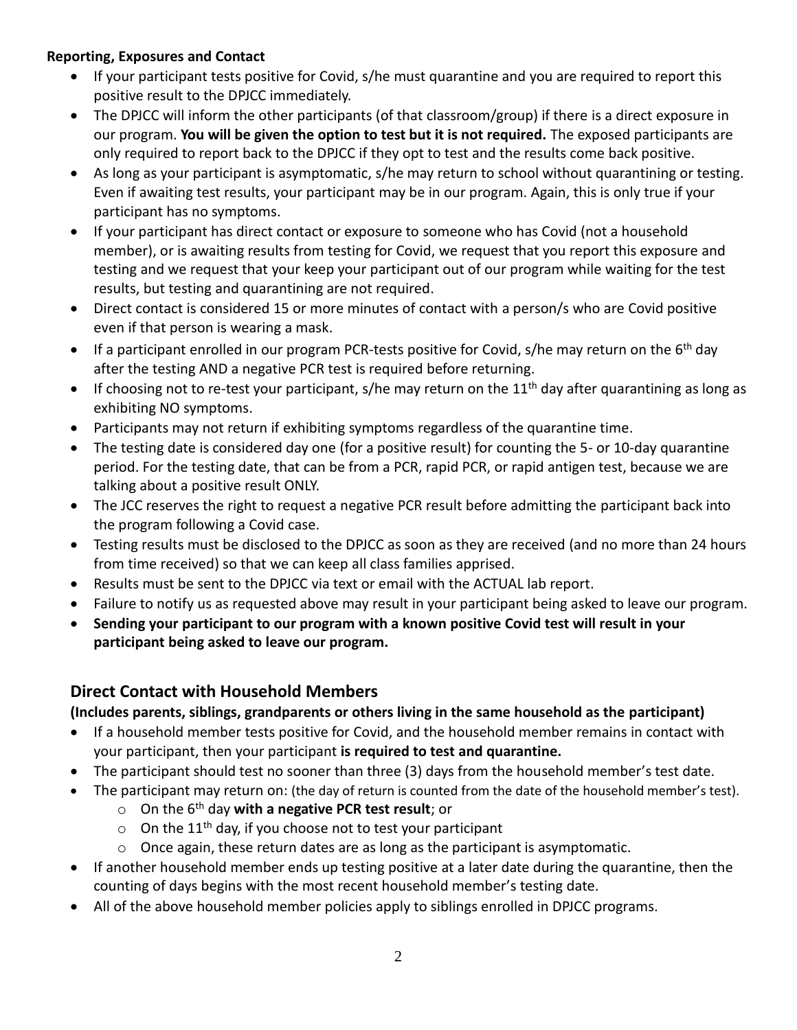### **Reporting, Exposures and Contact**

- If your participant tests positive for Covid, s/he must quarantine and you are required to report this positive result to the DPJCC immediately.
- The DPJCC will inform the other participants (of that classroom/group) if there is a direct exposure in our program. **You will be given the option to test but it is not required.** The exposed participants are only required to report back to the DPJCC if they opt to test and the results come back positive.
- As long as your participant is asymptomatic, s/he may return to school without quarantining or testing. Even if awaiting test results, your participant may be in our program. Again, this is only true if your participant has no symptoms.
- If your participant has direct contact or exposure to someone who has Covid (not a household member), or is awaiting results from testing for Covid, we request that you report this exposure and testing and we request that your keep your participant out of our program while waiting for the test results, but testing and quarantining are not required.
- Direct contact is considered 15 or more minutes of contact with a person/s who are Covid positive even if that person is wearing a mask.
- If a participant enrolled in our program PCR-tests positive for Covid, s/he may return on the  $6<sup>th</sup>$  day after the testing AND a negative PCR test is required before returning.
- If choosing not to re-test your participant, s/he may return on the  $11<sup>th</sup>$  day after quarantining as long as exhibiting NO symptoms.
- Participants may not return if exhibiting symptoms regardless of the quarantine time.
- The testing date is considered day one (for a positive result) for counting the 5- or 10-day quarantine period. For the testing date, that can be from a PCR, rapid PCR, or rapid antigen test, because we are talking about a positive result ONLY.
- The JCC reserves the right to request a negative PCR result before admitting the participant back into the program following a Covid case.
- Testing results must be disclosed to the DPJCC as soon as they are received (and no more than 24 hours from time received) so that we can keep all class families apprised.
- Results must be sent to the DPJCC via text or email with the ACTUAL lab report.
- Failure to notify us as requested above may result in your participant being asked to leave our program.
- **Sending your participant to our program with a known positive Covid test will result in your participant being asked to leave our program.**

## **Direct Contact with Household Members**

**(Includes parents, siblings, grandparents or others living in the same household as the participant)**

- If a household member tests positive for Covid, and the household member remains in contact with your participant, then your participant **is required to test and quarantine.**
- The participant should test no sooner than three (3) days from the household member's test date.
- The participant may return on: (the day of return is counted from the date of the household member's test).
	- o On the 6th day **with a negative PCR test result**; or
	- $\circ$  On the 11<sup>th</sup> day, if you choose not to test your participant
	- o Once again, these return dates are as long as the participant is asymptomatic.
- If another household member ends up testing positive at a later date during the quarantine, then the counting of days begins with the most recent household member's testing date.
- All of the above household member policies apply to siblings enrolled in DPJCC programs.